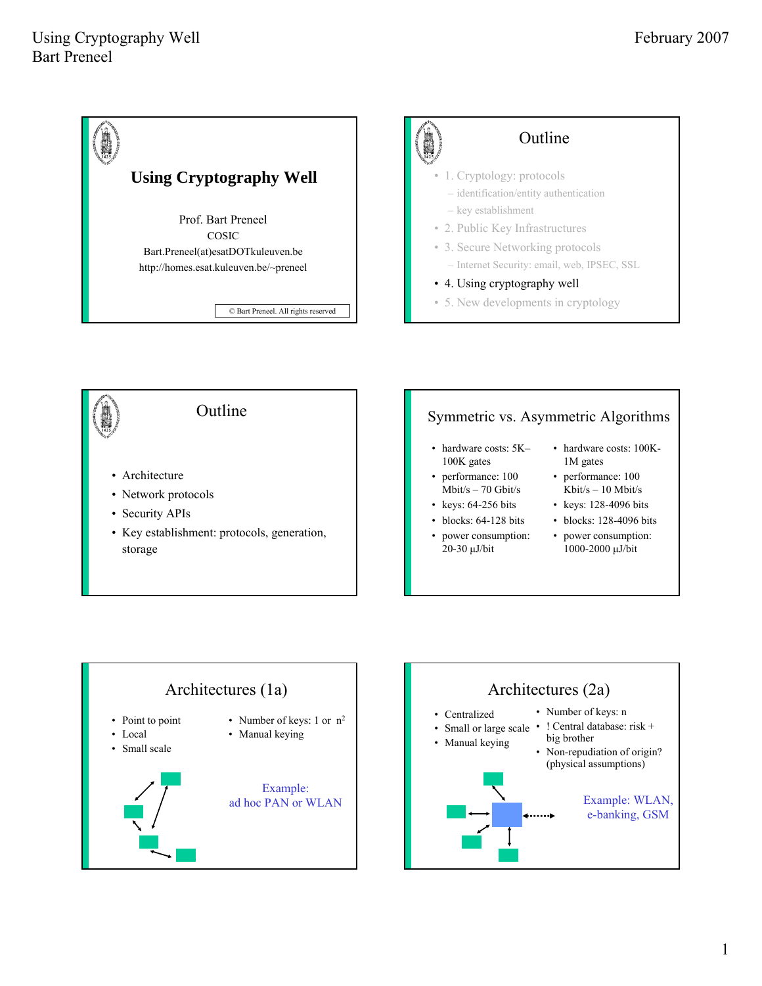







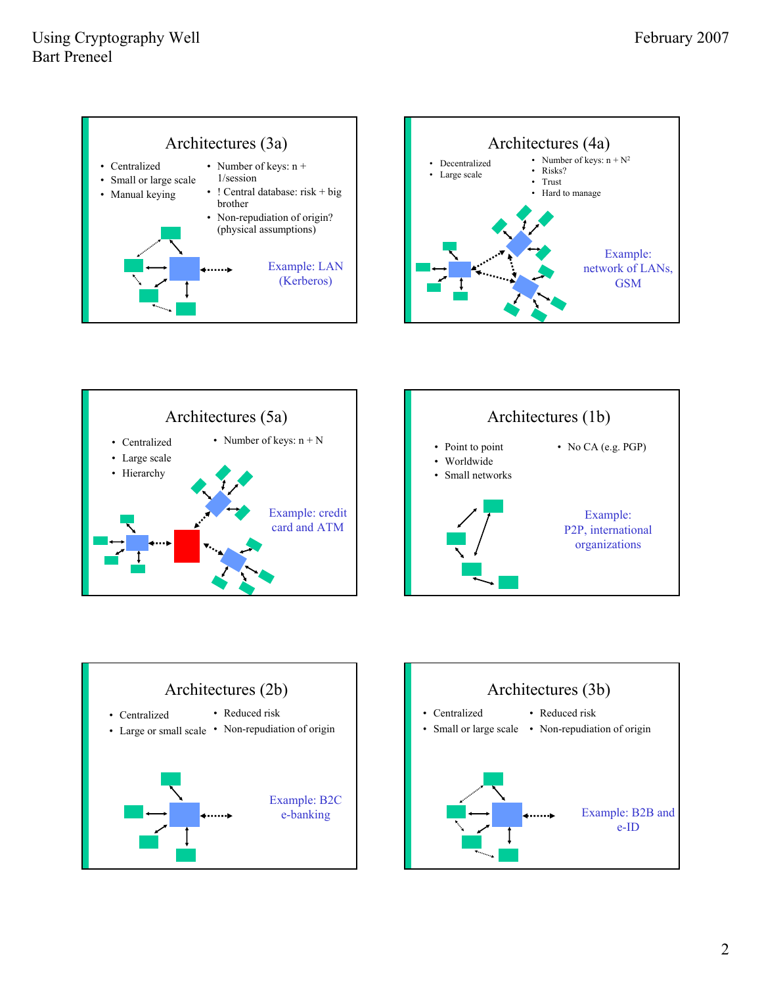









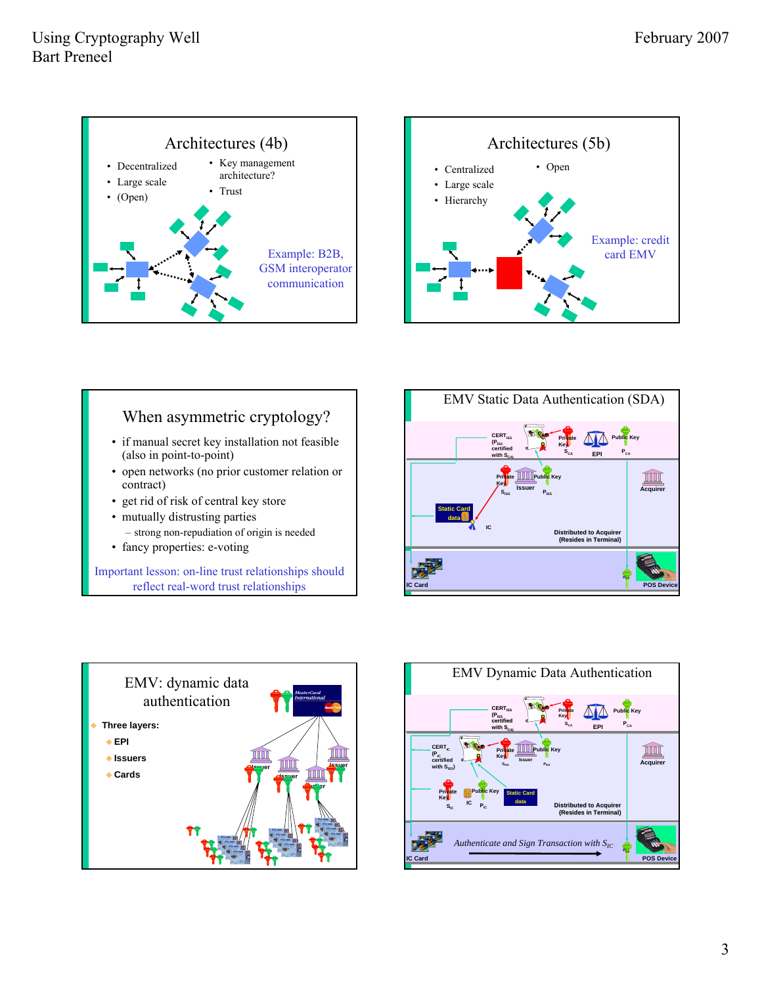



## When asymmetric cryptology?

- if manual secret key installation not feasible (also in point-to-point)
- open networks (no prior customer relation or contract)
- get rid of risk of central key store
- mutually distrusting parties – strong non-repudiation of origin is needed
- fancy properties: e-voting

Important lesson: on-line trust relationships should reflect real-word trust relationships





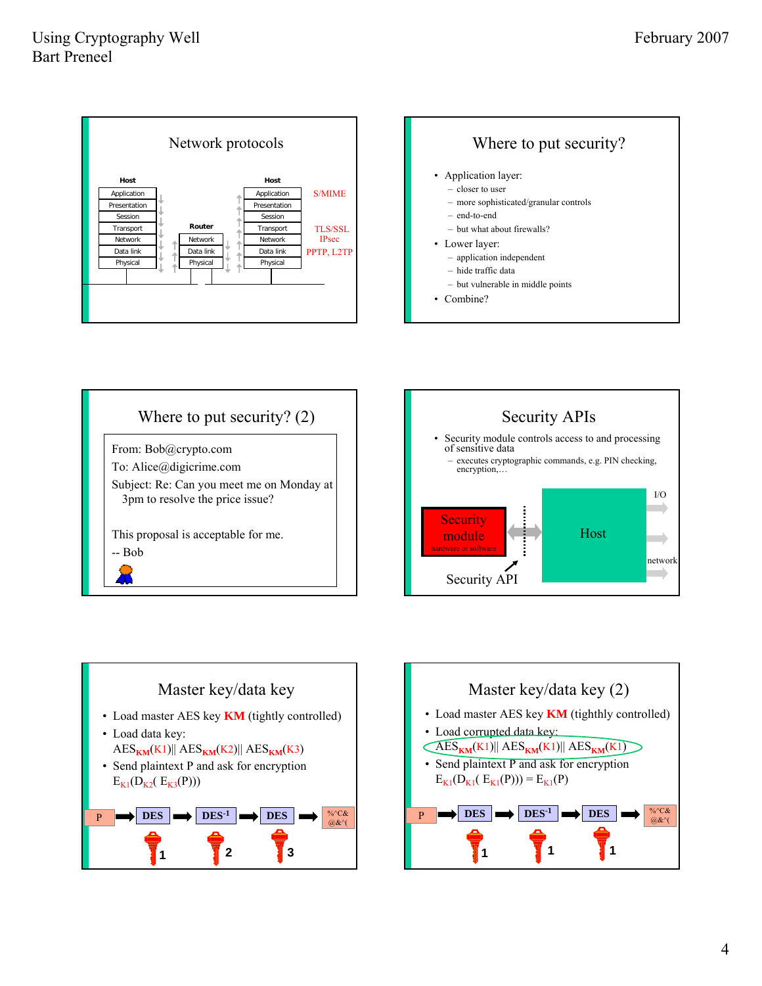









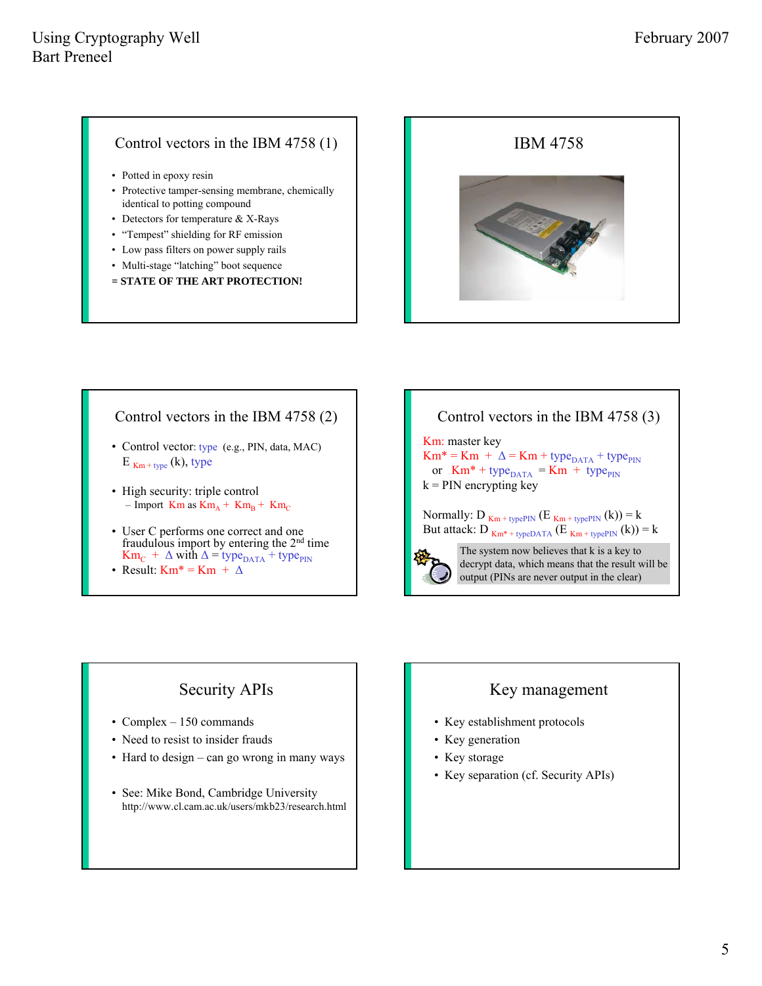### Control vectors in the IBM 4758 (1)

- Potted in epoxy resin
- Protective tamper-sensing membrane, chemically identical to potting compound
- Detectors for temperature & X-Rays
- "Tempest" shielding for RF emission
- Low pass filters on power supply rails
- Multi-stage "latching" boot sequence
- **= STATE OF THE ART PROTECTION!**



### Control vectors in the IBM 4758 (2)

- Control vector: type (e.g., PIN, data, MAC)  $E_{Km + type}(k)$ , type
- High security: triple control – Import Km as  $Km_A + Km_B + Km_C$
- User C performs one correct and one fraudulous import by entering the  $2<sup>nd</sup>$  time  $Km_C + \Delta$  with  $\Delta =$  type<sub>DATA</sub> + type<sub>PIN</sub>
- Result:  $Km^* = Km + \Delta$

### Control vectors in the IBM 4758 (3)

Km: master key  $Km^* = Km + \Delta = Km + type_{DATA} + type_{PIN}$ or  $Km^*$  + type<sub>DATA</sub> =  $Km$  + type<sub>PIN</sub>  $k = PIN$  encrypting key

Normally: D  $_{Km + typePIN}$  (E  $_{Km + typePIN}$  (k)) = k But attack:  $D_{Km^* + typeDATA}$   $(E_{Km + typePIN}$   $(k)) = k$ 



The system now believes that k is a key to decrypt data, which means that the result will be output (PINs are never output in the clear)

## Security APIs

- Complex 150 commands
- Need to resist to insider frauds
- Hard to design can go wrong in many ways
- See: Mike Bond, Cambridge University http://www.cl.cam.ac.uk/users/mkb23/research.html

### Key management

- Key establishment protocols
- Key generation
- Key storage
- Key separation (cf. Security APIs)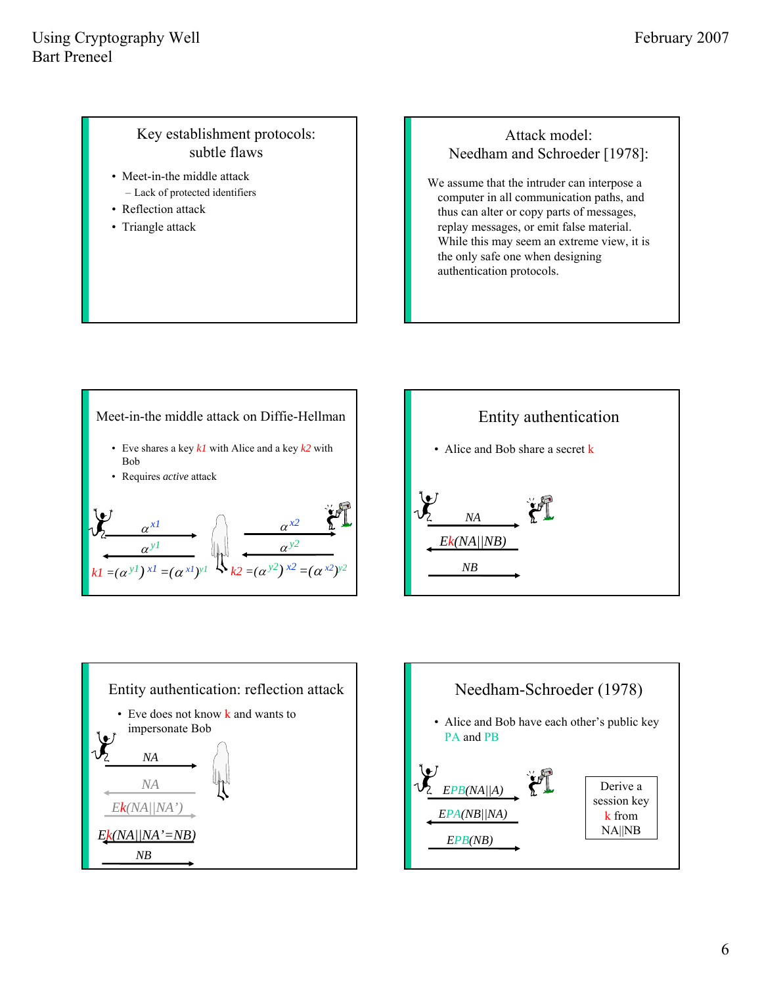### Key establishment protocols: subtle flaws

- Meet-in-the middle attack – Lack of protected identifiers
- Reflection attack
- Triangle attack

### Attack model: Needham and Schroeder [1978]:

We assume that the intruder can interpose a computer in all communication paths, and thus can alter or copy parts of messages, replay messages, or emit false material. While this may seem an extreme view, it is the only safe one when designing authentication protocols.







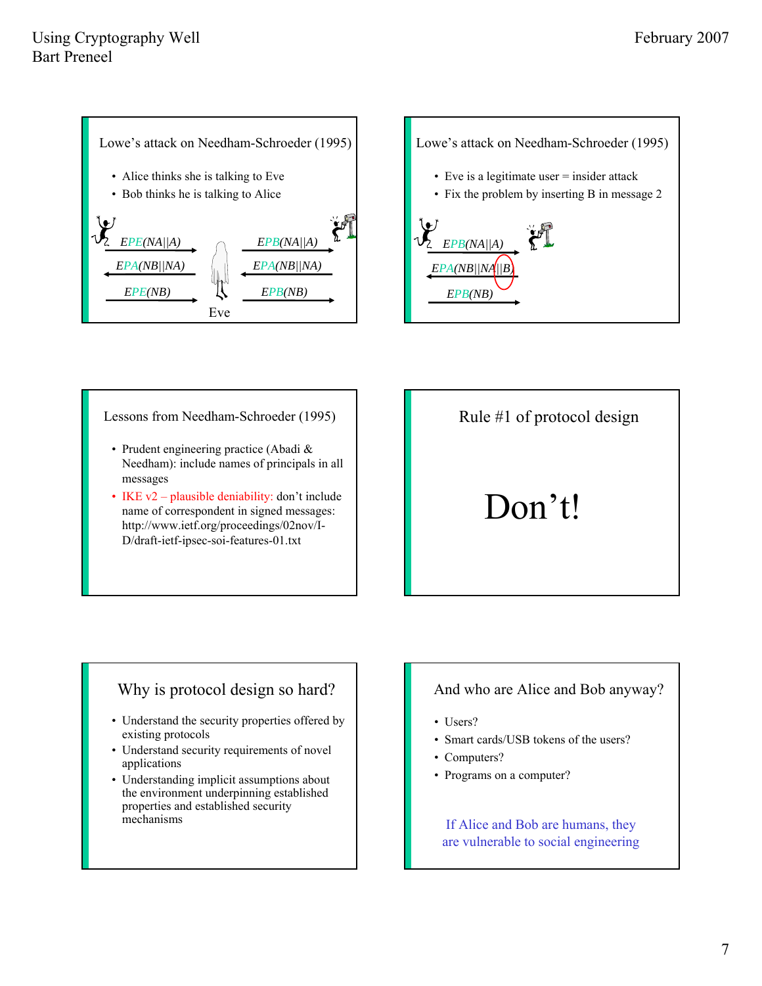



Lessons from Needham-Schroeder (1995)

- Prudent engineering practice (Abadi & Needham): include names of principals in all messages
- IKE v2 plausible deniability: don't include name of correspondent in signed messages: http://www.ietf.org/proceedings/02nov/I-D/draft-ietf-ipsec-soi-features-01.txt



## Why is protocol design so hard?

- Understand the security properties offered by existing protocols
- Understand security requirements of novel applications
- Understanding implicit assumptions about the environment underpinning established properties and established security mechanisms

### And who are Alice and Bob anyway?

- Users?
- Smart cards/USB tokens of the users?
- Computers?
- Programs on a computer?

If Alice and Bob are humans, they are vulnerable to social engineering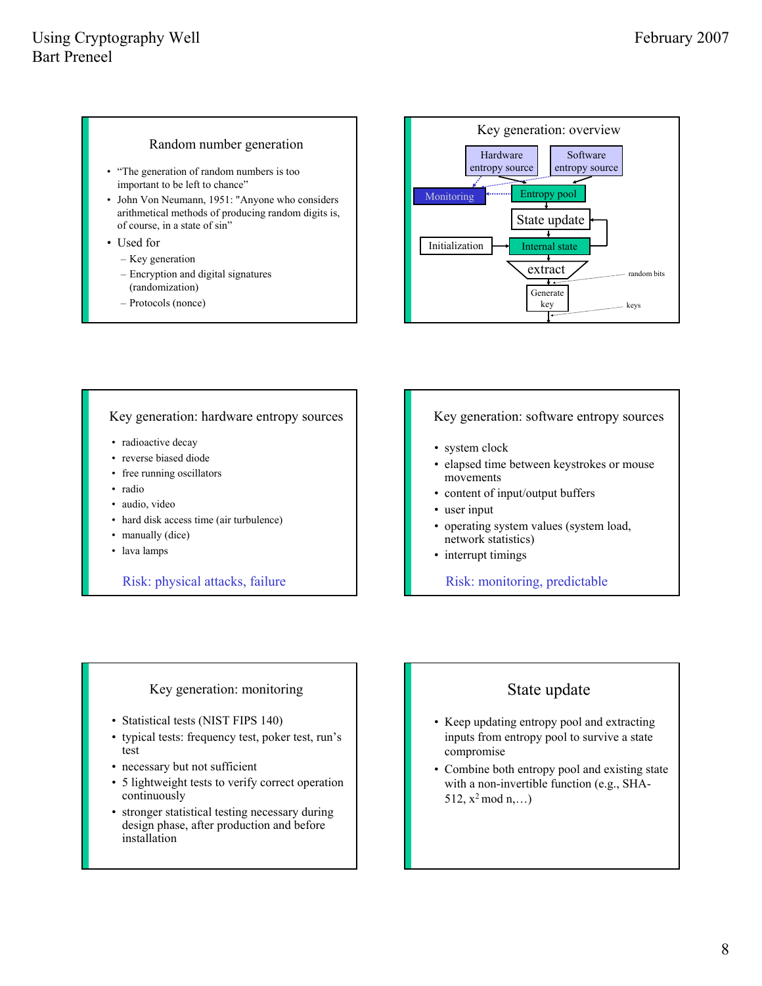#### Random number generation

- "The generation of random numbers is too important to be left to chance"
- John Von Neumann, 1951: "Anyone who considers arithmetical methods of producing random digits is, of course, in a state of sin"
- Used for
	- Key generation
	- Encryption and digital signatures
	- (randomization)
	- Protocols (nonce)



#### Key generation: hardware entropy sources

- radioactive decay
- reverse biased diode
- free running oscillators
- radio
- audio, video
- hard disk access time (air turbulence)
- manually (dice)
- lava lamps

Risk: physical attacks, failure

#### Key generation: software entropy sources

- system clock
- elapsed time between keystrokes or mouse movements
- content of input/output buffers
- user input
- operating system values (system load, network statistics)
- interrupt timings
	- Risk: monitoring, predictable

#### Key generation: monitoring

- Statistical tests (NIST FIPS 140)
- typical tests: frequency test, poker test, run's test
- necessary but not sufficient
- 5 lightweight tests to verify correct operation continuously
- stronger statistical testing necessary during design phase, after production and before installation

## State update

- Keep updating entropy pool and extracting inputs from entropy pool to survive a state compromise
- Combine both entropy pool and existing state with a non-invertible function (e.g., SHA-512,  $x^2 \mod n, ...$